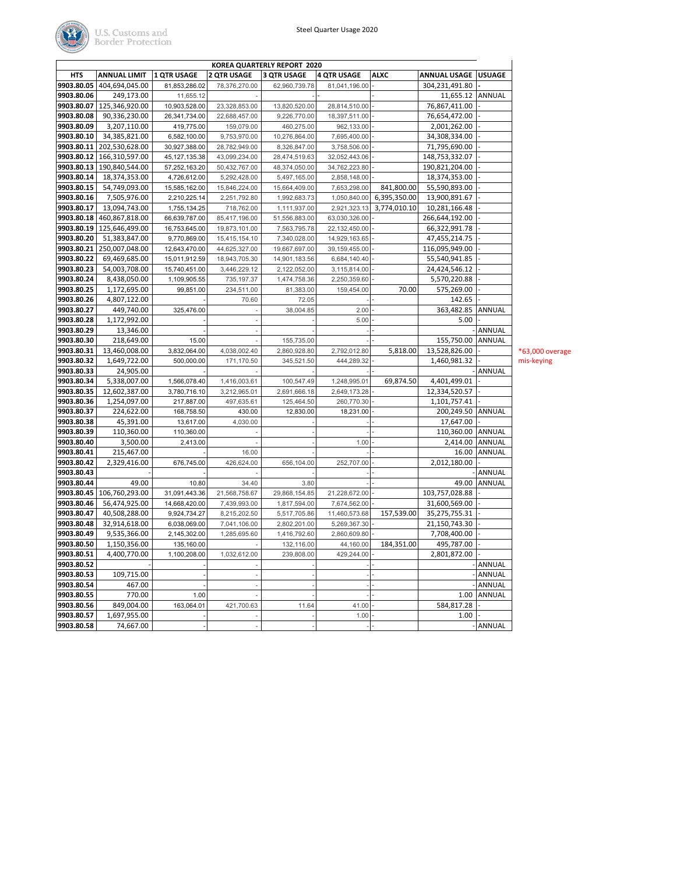

| KOREA QUARTERLY REPORT 2020 |                            |                    |                    |                    |                    |              |                       |               |  |  |
|-----------------------------|----------------------------|--------------------|--------------------|--------------------|--------------------|--------------|-----------------------|---------------|--|--|
| <b>HTS</b>                  | <b>ANNUAL LIMIT</b>        | <b>1 QTR USAGE</b> | <b>2 QTR USAGE</b> | <b>3 QTR USAGE</b> | <b>4 QTR USAGE</b> | <b>ALXC</b>  | ANNUAL USAGE   USUAGE |               |  |  |
| 9903.80.05                  | 404,694,045.00             | 81,853,286.02      | 78,376,270.00      | 62,960,739.78      | 81,041,196.00      |              | 304,231,491.80        |               |  |  |
| 9903.80.06                  | 249,173.00                 | 11,655.12          |                    |                    |                    |              | 11,655.12             | <b>ANNUAL</b> |  |  |
| 9903.80.07                  | 125,346,920.00             | 10,903,528.00      | 23,328,853.00      | 13,820,520.00      | 28,814,510.00      |              | 76,867,411.00         |               |  |  |
| 9903.80.08                  | 90,336,230.00              | 26,341,734.00      | 22,688,457.00      | 9,226,770.00       | 18,397,511.00      |              | 76,654,472.00         |               |  |  |
| 9903.80.09                  | 3,207,110.00               | 419,775.00         | 159,079.00         | 460,275.00         | 962,133.00         |              | 2,001,262.00          |               |  |  |
| 9903.80.10                  | 34,385,821.00              | 6,582,100.00       | 9,753,970.00       | 10,276,864.00      | 7,695,400.00       |              | 34,308,334.00         |               |  |  |
| 9903.80.11                  | 202,530,628.00             | 30,927,388.00      | 28,782,949.00      | 8,326,847.00       | 3,758,506.00       |              | 71,795,690.00         |               |  |  |
| 9903.80.12                  | 166,310,597.00             | 45, 127, 135.38    | 43,099,234.00      | 28,474,519.63      | 32,052,443.06      |              | 148,753,332.07        |               |  |  |
| 9903.80.13                  | 190,840,544.00             | 57,252,163.20      | 50,432,767.00      | 48,374,050.00      | 34,762,223.80      |              | 190,821,204.00        |               |  |  |
| 9903.80.14                  | 18,374,353.00              | 4,726,612.00       | 5,292,428.00       | 5,497,165.00       | 2,858,148.00       |              | 18,374,353.00         |               |  |  |
| 9903.80.15                  | 54,749,093.00              | 15,585,162.00      | 15,846,224.00      | 15,664,409.00      | 7,653,298.00       | 841,800.00   | 55,590,893.00         |               |  |  |
| 9903.80.16                  | 7,505,976.00               | 2,210,225.14       | 2,251,792.80       | 1,992,683.73       | 1,050,840.00       | 6,395,350.00 | 13,900,891.67         |               |  |  |
| 9903.80.17                  | 13,094,743.00              | 1,755,134.25       | 718,762.00         | 1,111,937.00       | 2,921,323.13       | 3,774,010.10 | 10,281,166.48         |               |  |  |
| 9903.80.18                  | 460,867,818.00             | 66,639,787.00      | 85,417,196.00      | 51,556,883.00      | 63,030,326.00      |              | 266,644,192.00        |               |  |  |
| 9903.80.19                  | 125,646,499.00             | 16,753,645.00      | 19,873,101.00      | 7,563,795.78       | 22,132,450.00      |              | 66,322,991.78         |               |  |  |
| 9903.80.20                  | 51,383,847.00              | 9,770,869.00       | 15,415,154.10      | 7,340,028.00       | 14,929,163.65      |              | 47,455,214.75         |               |  |  |
| 9903.80.21                  | 250,007,048.00             | 12,643,470.00      | 44,625,327.00      | 19,667,697.00      | 39,159,455.00      |              | 116,095,949.00        |               |  |  |
| 9903.80.22                  | 69,469,685.00              | 15,011,912.59      | 18,943,705.30      | 14,901,183.56      | 6,684,140.40       |              | 55,540,941.85         |               |  |  |
| 9903.80.23                  | 54,003,708.00              | 15,740,451.00      | 3,446,229.12       | 2,122,052.00       | 3,115,814.00       |              | 24,424,546.12         |               |  |  |
| 9903.80.24                  | 8,438,050.00               | 1,109,905.55       | 735,197.37         | 1,474,758.36       | 2,250,359.60       |              | 5,570,220.88          |               |  |  |
| 9903.80.25                  | 1,172,695.00               | 99,851.00          | 234,511.00         | 81,383.00          | 159,454.00         | 70.00        | 575,269.00            |               |  |  |
| 9903.80.26                  | 4,807,122.00               |                    | 70.60              |                    |                    |              | 142.65                |               |  |  |
|                             |                            |                    |                    | 72.05              |                    |              |                       |               |  |  |
| 9903.80.27                  | 449,740.00<br>1,172,992.00 | 325,476.00         |                    | 38,004.85          | 2.00               |              | 363,482.85            | ANNUAL        |  |  |
| 9903.80.28                  |                            |                    |                    |                    | 5.00               |              | 5.00                  |               |  |  |
| 9903.80.29                  | 13,346.00                  |                    |                    |                    |                    |              |                       | ANNUAL        |  |  |
| 9903.80.30                  | 218,649.00                 | 15.00              |                    | 155,735.00         |                    |              | 155,750.00            | <b>ANNUAL</b> |  |  |
| 9903.80.31                  | 13,460,008.00              | 3,832,064.00       | 4,038,002.40       | 2,860,928.80       | 2,792,012.80       | 5,818.00     | 13,528,826.00         |               |  |  |
| 9903.80.32                  | 1,649,722.00               | 500,000.00         | 171,170.50         | 345,521.50         | 444,289.32         |              | 1,460,981.32          |               |  |  |
| 9903.80.33                  | 24,905.00                  |                    |                    |                    |                    |              |                       | ANNUAL        |  |  |
| 9903.80.34                  | 5,338,007.00               | 1,566,078.40       | 1,416,003.61       | 100,547.49         | 1,248,995.01       | 69,874.50    | 4,401,499.01          |               |  |  |
| 9903.80.35                  | 12,602,387.00              | 3,780,716.10       | 3,212,965.01       | 2,691,666.18       | 2,649,173.28       |              | 12,334,520.57         |               |  |  |
| 9903.80.36                  | 1,254,097.00               | 217,887.00         | 497,635.61         | 125,464.50         | 260,770.30         |              | 1,101,757.41          |               |  |  |
| 9903.80.37                  | 224,622.00                 | 168,758.50         | 430.00             | 12,830.00          | 18,231.00          |              | 200,249.50            | ANNUAL        |  |  |
| 9903.80.38                  | 45,391.00                  | 13,617.00          | 4,030.00           |                    |                    |              | 17,647.00             |               |  |  |
| 9903.80.39                  | 110,360.00                 | 110,360.00         |                    |                    |                    |              | 110,360.00 ANNUAL     |               |  |  |
| 9903.80.40                  | 3,500.00                   | 2,413.00           |                    |                    | 1.00               |              | 2,414.00              | ANNUAL        |  |  |
| 9903.80.41                  | 215,467.00                 |                    | 16.00              |                    |                    |              | 16.00                 | ANNUAL        |  |  |
| 9903.80.42                  | 2,329,416.00               | 676,745.00         | 426,624.00         | 656,104.00         | 252,707.00         |              | 2,012,180.00          |               |  |  |
| 9903.80.43                  |                            |                    |                    |                    |                    |              |                       | ANNUAL        |  |  |
| 9903.80.44                  | 49.00                      | 10.80              | 34.40              | 3.80               |                    |              | 49.00                 | ANNUAL        |  |  |
| 9903.80.45                  | 106,760,293.00             | 31,091,443.36      | 21,568,758.67      | 29,868,154.85      | 21,228,672.00      |              | 103,757,028.88        |               |  |  |
| 9903.80.46                  | 56,474,925.00              | 14,668,420.00      | 7,439,993.00       | 1,817,594.00       | 7,674,562.00       |              | 31,600,569.00         |               |  |  |
| 9903.80.47                  | 40,508,288.00              | 9,924,734.27       | 8,215,202.50       | 5,517,705.86       | 11,460,573.68      | 157,539.00   | 35,275,755.31         |               |  |  |
| 9903.80.48                  | 32,914,618.00              | 6,038,069.00       | 7,041,106.00       | 2,802,201.00       | 5,269,367.30       |              | 21,150,743.30         |               |  |  |
| 9903.80.49                  | 9,535,366.00               | 2,145,302.00       | 1,285,695.60       | 1,416,792.60       | 2,860,609.80       |              | 7,708,400.00          |               |  |  |
| 9903.80.50                  | 1,150,356.00               | 135,160.00         |                    | 132,116.00         | 44,160.00          | 184,351.00   | 495,787.00            |               |  |  |
| 9903.80.51                  | 4,400,770.00               | 1,100,208.00       | 1,032,612.00       | 239,808.00         | 429,244.00         |              | 2,801,872.00          |               |  |  |
| 9903.80.52                  |                            |                    |                    |                    |                    |              |                       | ANNUAL        |  |  |
| 9903.80.53                  | 109,715.00                 |                    |                    |                    |                    |              |                       | ANNUAL        |  |  |
| 9903.80.54                  | 467.00                     |                    |                    |                    |                    |              |                       | ANNUAL        |  |  |
| 9903.80.55                  | 770.00                     | 1.00               |                    |                    |                    |              | 1.00                  | ANNUAL        |  |  |
| 9903.80.56                  | 849,004.00                 | 163,064.01         |                    | 11.64              | 41.00              |              | 584,817.28            |               |  |  |
| 9903.80.57                  | 1,697,955.00               |                    | 421,700.63         |                    | 1.00               |              |                       |               |  |  |
|                             |                            |                    |                    |                    |                    |              | 1.00                  |               |  |  |
| 9903.80.58                  | 74,667.00                  |                    |                    |                    |                    |              |                       | <b>ANNUAL</b> |  |  |

 $53,000$  overage is-keying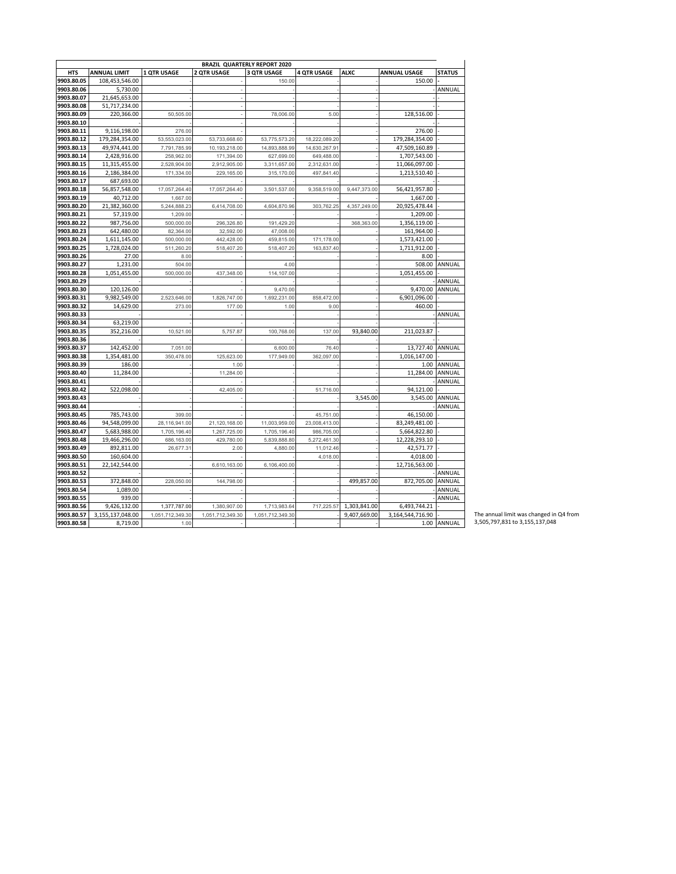| <b>BRAZIL QUARTERLY REPORT 2020</b> |                     |                    |                    |                    |                    |              |                     |               |  |  |
|-------------------------------------|---------------------|--------------------|--------------------|--------------------|--------------------|--------------|---------------------|---------------|--|--|
| <b>HTS</b>                          | <b>ANNUAL LIMIT</b> | <b>1 QTR USAGE</b> | <b>2 QTR USAGE</b> | <b>3 QTR USAGE</b> | <b>4 QTR USAGE</b> | <b>ALXC</b>  | <b>ANNUAL USAGE</b> | <b>STATUS</b> |  |  |
| 9903.80.05                          | 108,453,546.00      |                    |                    | 150.00             |                    |              | 150.00              |               |  |  |
| 9903.80.06                          | 5,730.00            |                    |                    |                    |                    |              |                     | ANNUAL        |  |  |
| 9903.80.07                          | 21,645,653.00       |                    |                    |                    |                    |              |                     |               |  |  |
| 9903.80.08                          | 51,717,234.00       |                    |                    |                    |                    |              |                     |               |  |  |
| 9903.80.09                          | 220,366.00          | 50,505.00          |                    | 78,006.00          | 5.00               |              | 128,516.00          |               |  |  |
| 9903.80.10                          |                     |                    |                    |                    |                    |              |                     |               |  |  |
| 9903.80.11                          | 9,116,198.00        | 276.00             |                    |                    |                    |              | 276.00              |               |  |  |
| 9903.80.12                          | 179,284,354.00      | 53,553,023.00      | 53,733,668.60      | 53,775,573.20      | 18,222,089.20      |              | 179,284,354.00      |               |  |  |
| 9903.80.13                          | 49,974,441.00       | 7,791,785.99       | 10,193,218.00      | 14.893.888.99      | 14,630,267.91      |              | 47,509,160.89       |               |  |  |
| 9903.80.14                          | 2,428,916.00        | 258,962.00         | 171,394.00         | 627,699.00         | 649,488.00         |              | 1,707,543.00        |               |  |  |
| 9903.80.15                          | 11,315,455.00       | 2,528,904.00       | 2,912,905.00       | 3,311,657.00       | 2,312,631.00       |              | 11,066,097.00       |               |  |  |
| 9903.80.16                          | 2,186,384.00        | 171,334.00         | 229,165.00         | 315,170.00         | 497,841.40         |              | 1,213,510.40        |               |  |  |
| 9903.80.17                          | 687,693.00          |                    |                    |                    |                    |              |                     |               |  |  |
| 9903.80.18                          | 56,857,548.00       | 17,057,264.40      | 17,057,264.40      | 3,501,537.00       | 9,358,519.00       | 9,447,373.00 | 56,421,957.80       |               |  |  |
| 9903.80.19                          | 40.712.00           | 1,667.00           |                    |                    |                    |              | 1.667.00            |               |  |  |
| 9903.80.20                          | 21,382,360.00       | 5,244,888.23       | 6,414,708.00       | 4,604,870.96       | 303,762.25         | 4,357,249.00 | 20,925,478.44       |               |  |  |
| 9903.80.21                          | 57,319.00           | 1,209.00           |                    |                    |                    |              | 1,209.00            |               |  |  |
| 9903.80.22                          | 987,756.00          | 500,000.00         | 296,326.80         | 191,429.20         |                    | 368,363.00   | 1,356,119.00        |               |  |  |
| 9903.80.23                          | 642,480.00          | 82,364.00          | 32,592.00          | 47,008.00          |                    |              | 161,964.00          |               |  |  |
| 9903.80.24                          | 1,611,145.00        | 500,000.00         | 442,428.00         | 459,815.00         | 171,178.00         |              | 1,573,421.00        |               |  |  |
| 9903.80.25                          | 1,728,024.00        | 511,260.20         | 518,407.20         | 518,407.20         | 163,837.40         |              | 1,711,912.00        |               |  |  |
| 9903.80.26                          | 27.00               | 8.00               |                    |                    |                    |              | 8.00                |               |  |  |
| 9903.80.27                          | 1,231.00            | 504.00             |                    | 4.00               |                    |              | 508.00              | ANNUAL        |  |  |
| 9903.80.28                          | 1,051,455.00        | 500,000.00         | 437,348.00         | 114,107.00         |                    |              | 1,051,455.00        |               |  |  |
| 9903.80.29                          |                     |                    |                    |                    |                    |              |                     | ANNUAL        |  |  |
| 9903.80.30                          | 120,126.00          |                    |                    | 9,470.00           |                    |              | 9,470.00            | ANNUAL        |  |  |
| 9903.80.31                          | 9,982,549.00        | 2,523,646.00       | 1,826,747.00       | 1,692,231.00       | 858,472.00         |              | 6,901,096.00        |               |  |  |
| 9903.80.32                          | 14,629.00           | 273.00             | 177.00             | 1.00               | 9.00               |              | 460.00              |               |  |  |
| 9903.80.33                          |                     |                    |                    |                    |                    |              |                     | ANNUAL        |  |  |
| 9903.80.34                          | 63.219.00           |                    |                    |                    |                    |              |                     |               |  |  |
| 9903.80.35                          | 352,216.00          | 10,521.00          | 5,757.87           | 100,768.00         | 137.00             | 93,840.00    | 211,023.87          |               |  |  |
| 9903.80.36                          |                     |                    |                    |                    |                    |              |                     |               |  |  |
| 9903.80.37                          | 142,452.00          | 7,051.00           |                    | 6,600.00           | 76.40              |              | 13,727.40           | ANNUAL        |  |  |
| 9903.80.38                          | 1,354,481.00        | 350,478.00         | 125,623.00         | 177,949.00         | 362,097.00         |              | 1,016,147.00        |               |  |  |
| 9903.80.39                          | 186.00              |                    | 1.00               |                    |                    |              | 1.00                | ANNUAL        |  |  |
| 9903.80.40                          | 11.284.00           |                    | 11,284.00          |                    |                    |              | 11.284.00           | ANNUAL        |  |  |
| 9903.80.41                          |                     |                    |                    |                    |                    |              |                     | ANNUAL        |  |  |
| 9903.80.42                          | 522,098.00          |                    | 42,405.00          |                    | 51,716.00          |              | 94,121.00           |               |  |  |
| 9903.80.43                          |                     |                    |                    |                    |                    | 3,545.00     | 3,545.00            | ANNUAL        |  |  |
| 9903.80.44                          |                     |                    |                    |                    |                    |              |                     | ANNUAL        |  |  |
| 9903.80.45                          | 785.743.00          | 399.00             |                    |                    | 45,751.00          |              | 46,150.00           |               |  |  |
| 9903.80.46                          | 94,548,099.00       | 28,116,941.00      | 21,120,168.00      | 11,003,959.00      | 23,008,413.00      |              | 83,249,481.00       |               |  |  |
| 9903.80.47                          | 5,683,988.00        | 1,705,196.40       | 1,267,725.00       | 1,705,196.40       | 986,705.00         |              | 5,664,822.80        |               |  |  |
| 9903.80.48                          | 19,466,296.00       | 686,163.00         | 429,780.00         | 5,839,888.80       | 5,272,461.30       |              | 12,228,293.10       |               |  |  |
| 9903.80.49                          | 892.811.00          | 26.677.31          | 2.00               | 4.880.00           | 11,012.46          |              | 42,571.77           |               |  |  |
| 9903.80.50                          | 160,604.00          |                    |                    |                    | 4,018.00           |              | 4,018.00            |               |  |  |
| 9903.80.51                          | 22,142,544.00       |                    | 6,610,163.00       | 6,106,400.00       |                    |              | 12,716,563.00       |               |  |  |
| 9903.80.52                          |                     |                    |                    |                    |                    |              |                     | ANNUAL        |  |  |
| 9903.80.53                          | 372,848.00          | 228,050.00         | 144,798.00         |                    |                    | 499,857.00   | 872,705.00          | ANNUAL        |  |  |
| 9903.80.54                          | 1,089.00            |                    |                    |                    |                    |              |                     | ANNUAL        |  |  |
| 9903.80.55                          | 939.00              |                    |                    |                    |                    |              |                     | ANNUAL        |  |  |
| 9903.80.56                          | 9,426,132.00        | 1,377,787.00       | 1,380,907.00       | 1,713,983.64       | 717,225.57         | 1,303,841.00 | 6,493,744.21        |               |  |  |
| 9903.80.57                          | 3,155,137,048.00    | 1,051,712,349.30   | 1,051,712,349.30   | 1,051,712,349.30   |                    | 9,407,669.00 | 3,164,544,716.90    |               |  |  |
| 9903.80.58                          | 8,719.00            | 1.00               |                    |                    |                    |              |                     | 1.00 ANNUAL   |  |  |
|                                     |                     |                    |                    |                    |                    |              |                     |               |  |  |

The annual limit was changed in Q4 from 3,505,797,831 to 3,155,137,048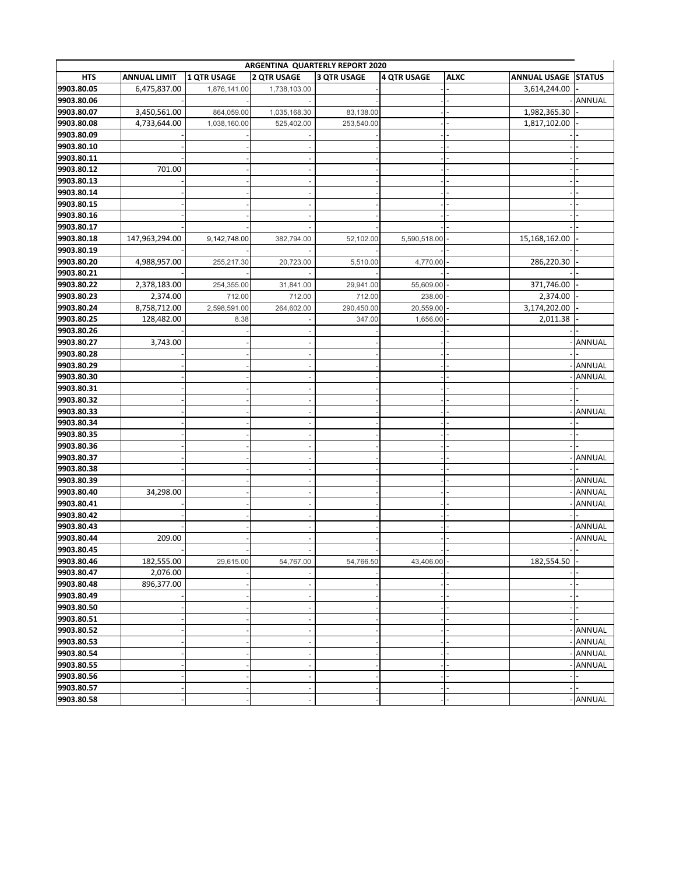| ARGENTINA QUARTERLY REPORT 2020 |                     |              |                    |                    |                    |             |                     |               |  |  |
|---------------------------------|---------------------|--------------|--------------------|--------------------|--------------------|-------------|---------------------|---------------|--|--|
| <b>HTS</b>                      | <b>ANNUAL LIMIT</b> | 1 QTR USAGE  | <b>2 QTR USAGE</b> | <b>3 QTR USAGE</b> | <b>4 QTR USAGE</b> | <b>ALXC</b> | <b>ANNUAL USAGE</b> | <b>STATUS</b> |  |  |
| 9903.80.05                      | 6,475,837.00        | 1,876,141.00 | 1,738,103.00       |                    |                    |             | 3,614,244.00        |               |  |  |
| 9903.80.06                      |                     |              |                    |                    |                    |             |                     | ANNUAL        |  |  |
| 9903.80.07                      | 3,450,561.00        | 864,059.00   | 1,035,168.30       | 83,138.00          |                    |             | 1,982,365.30        |               |  |  |
| 9903.80.08                      | 4,733,644.00        | 1,038,160.00 | 525,402.00         | 253,540.00         |                    |             | 1,817,102.00        |               |  |  |
| 9903.80.09                      |                     |              |                    |                    |                    |             |                     |               |  |  |
| 9903.80.10                      |                     |              |                    |                    |                    |             |                     |               |  |  |
| 9903.80.11                      |                     |              |                    |                    |                    |             |                     |               |  |  |
| 9903.80.12                      | 701.00              |              |                    |                    |                    |             |                     |               |  |  |
| 9903.80.13                      |                     |              |                    |                    |                    |             |                     |               |  |  |
| 9903.80.14                      |                     |              |                    |                    |                    |             |                     |               |  |  |
| 9903.80.15                      |                     |              |                    |                    |                    |             |                     |               |  |  |
| 9903.80.16                      |                     |              |                    |                    |                    |             |                     |               |  |  |
| 9903.80.17                      |                     |              |                    |                    |                    |             |                     |               |  |  |
| 9903.80.18                      | 147,963,294.00      | 9,142,748.00 | 382,794.00         | 52,102.00          | 5,590,518.00       |             | 15,168,162.00       |               |  |  |
| 9903.80.19                      |                     |              |                    |                    |                    |             |                     |               |  |  |
| 9903.80.20                      | 4,988,957.00        | 255,217.30   | 20,723.00          | 5,510.00           | 4,770.00           |             | 286,220.30          |               |  |  |
| 9903.80.21                      |                     |              |                    |                    |                    |             |                     |               |  |  |
| 9903.80.22                      | 2,378,183.00        | 254,355.00   | 31,841.00          | 29,941.00          | 55,609.00          |             | 371,746.00          |               |  |  |
| 9903.80.23                      | 2,374.00            | 712.00       | 712.00             | 712.00             | 238.00             |             | 2,374.00            |               |  |  |
| 9903.80.24                      | 8,758,712.00        | 2,598,591.00 | 264,602.00         | 290,450.00         | 20,559.00          |             | 3,174,202.00        |               |  |  |
| 9903.80.25                      | 128,482.00          | 8.38         |                    | 347.00             | 1,656.00           |             | 2,011.38            |               |  |  |
| 9903.80.26                      |                     |              |                    |                    |                    |             |                     |               |  |  |
| 9903.80.27                      | 3,743.00            |              |                    |                    |                    |             |                     | ANNUAL        |  |  |
| 9903.80.28                      |                     |              |                    |                    |                    |             |                     |               |  |  |
| 9903.80.29                      |                     |              |                    |                    |                    |             |                     | ANNUAL        |  |  |
| 9903.80.30                      |                     |              |                    |                    |                    |             |                     | ANNUAL        |  |  |
| 9903.80.31                      |                     |              |                    |                    |                    |             |                     |               |  |  |
| 9903.80.32                      |                     |              |                    |                    |                    |             |                     |               |  |  |
| 9903.80.33                      |                     |              |                    |                    |                    |             |                     | ANNUAL        |  |  |
| 9903.80.34                      |                     |              |                    |                    |                    |             |                     |               |  |  |
| 9903.80.35                      |                     |              |                    |                    |                    |             |                     |               |  |  |
| 9903.80.36                      |                     |              |                    |                    |                    |             |                     |               |  |  |
| 9903.80.37                      |                     |              |                    |                    |                    |             |                     | ANNUAL        |  |  |
| 9903.80.38                      |                     |              |                    |                    |                    |             |                     |               |  |  |
| 9903.80.39                      |                     |              |                    |                    |                    |             |                     | ANNUAL        |  |  |
| 9903.80.40                      | 34,298.00           |              |                    |                    |                    |             |                     | ANNUAL        |  |  |
| 9903.80.41                      |                     |              |                    |                    |                    |             |                     | ANNUAL        |  |  |
| 9903.80.42                      |                     |              |                    |                    |                    |             |                     |               |  |  |
| 9903.80.43                      |                     |              |                    |                    |                    |             |                     | ANNUAL        |  |  |
| 9903.80.44                      | 209.00              |              |                    |                    |                    |             |                     | ANNUAL        |  |  |
| 9903.80.45                      |                     |              |                    |                    |                    |             |                     |               |  |  |
| 9903.80.46                      | 182,555.00          | 29,615.00    | 54,767.00          | 54,766.50          | 43,406.00          |             | 182,554.50          |               |  |  |
| 9903.80.47                      | 2,076.00            |              |                    |                    |                    |             |                     |               |  |  |
| 9903.80.48                      | 896,377.00          |              |                    |                    |                    |             |                     |               |  |  |
| 9903.80.49                      |                     |              |                    |                    |                    |             |                     |               |  |  |
| 9903.80.50                      |                     |              |                    |                    |                    |             |                     |               |  |  |
| 9903.80.51                      |                     |              |                    |                    |                    |             |                     |               |  |  |
| 9903.80.52                      |                     |              |                    |                    |                    |             |                     | ANNUAL        |  |  |
| 9903.80.53                      |                     |              |                    |                    |                    |             |                     | ANNUAL        |  |  |
| 9903.80.54                      |                     |              |                    |                    |                    |             |                     | ANNUAL        |  |  |
| 9903.80.55                      |                     |              |                    |                    |                    |             |                     | ANNUAL        |  |  |
| 9903.80.56                      |                     |              |                    |                    |                    |             |                     |               |  |  |
| 9903.80.57                      |                     |              |                    |                    |                    |             |                     |               |  |  |
| 9903.80.58                      |                     |              |                    |                    |                    |             |                     | ANNUAL        |  |  |